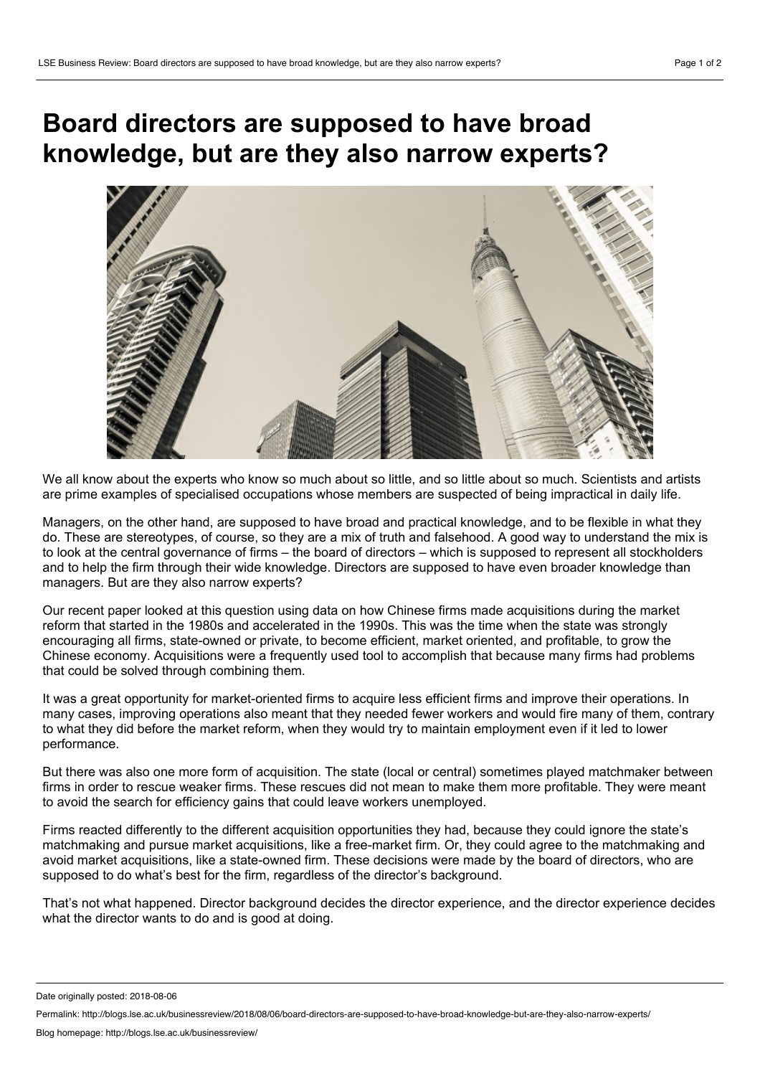## **Board directors are supposed to have broad knowledge, but are they also narrow experts?**



We all know about the experts who know so much about so little, and so little about so much. Scientists and artists are prime examples of specialised occupations whose members are suspected of being impractical in daily life.

Managers, on the other hand, are supposed to have broad and practical knowledge, and to be flexible in what they do. These are stereotypes, of course, so they are a mix of truth and falsehood. A good way to understand the mix is to look at the central governance of firms – the board of directors – which is supposed to represent all stockholders and to help the firm through their wide knowledge. Directors are supposed to have even broader knowledge than managers. But are they also narrow experts?

Our recent paper looked at this question using data on how Chinese firms made acquisitions during the market reform that started in the 1980s and accelerated in the 1990s. This was the time when the state was strongly encouraging all firms, state-owned or private, to become efficient, market oriented, and profitable, to grow the Chinese economy. Acquisitions were a frequently used tool to accomplish that because many firms had problems that could be solved through combining them.

It was a great opportunity for market-oriented firms to acquire less efficient firms and improve their operations. In many cases, improving operations also meant that they needed fewer workers and would fire many of them, contrary to what they did before the market reform, when they would try to maintain employment even if it led to lower performance.

But there was also one more form of acquisition. The state (local or central) sometimes played matchmaker between firms in order to rescue weaker firms. These rescues did not mean to make them more profitable. They were meant to avoid the search for efficiency gains that could leave workers unemployed.

Firms reacted differently to the different acquisition opportunities they had, because they could ignore the state's matchmaking and pursue market acquisitions, like a free-market firm. Or, they could agree to the matchmaking and avoid market acquisitions, like a state-owned firm. These decisions were made by the board of directors, who are supposed to do what's best for the firm, regardless of the director's background.

That's not what happened. Director background decides the director experience, and the director experience decides what the director wants to do and is good at doing.

Date originally posted: 2018-08-06

Permalink: http://blogs.lse.ac.uk/businessreview/2018/08/06/board-directors-are-supposed-to-have-broad-knowledge-but-are-they-also-narrow-experts/